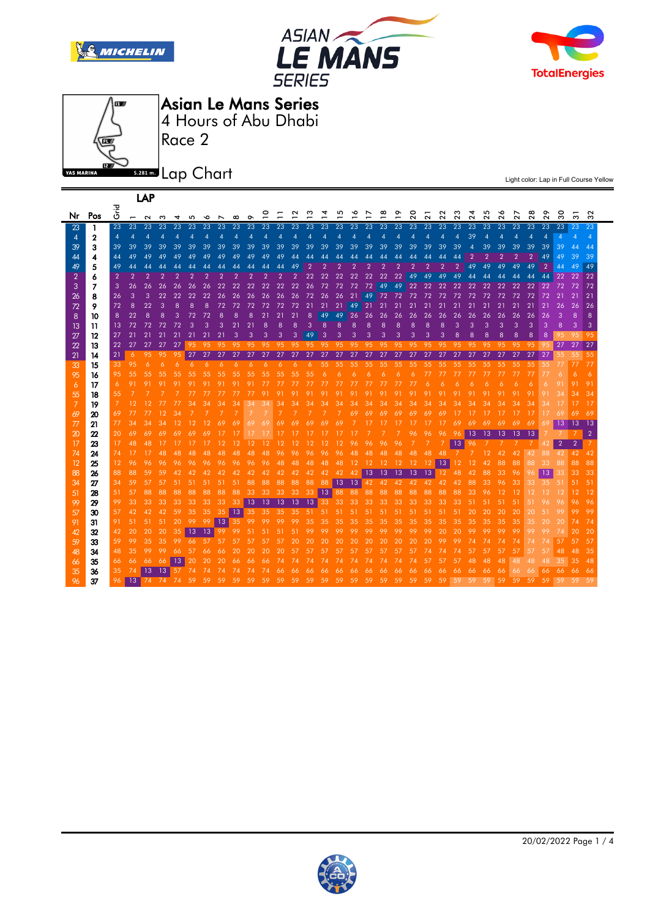







LAP

Asian Le Mans Series

Race 2 4 Hours of Abu Dhabi

**5.281 m.** Lap Chart

| Nr             | Pos | ہے۔<br>5       | $\overline{ }$ | $\sim$         | ო              | 4              | 5               | ∾              |                | $\infty$       | ᡐ              | 0<br>Ē          |                | $\sim$         | ო              |                |                |                |                | ∞              | ᢆ              | $\circ$<br>$\sim$ | $\sim$          | $\sim$<br>$\sim$ | ო<br>$\sim$    | 4<br>$\sim$ | $\Omega$<br>$\sim$ | ∾<br>$\sim$ | $\mathbf{\Omega}$ | $\infty$<br>$\sim$ | $\circ$<br>$\sim$        | $\circ$<br>w   | ო              | $\sim$<br>ო    |
|----------------|-----|----------------|----------------|----------------|----------------|----------------|-----------------|----------------|----------------|----------------|----------------|-----------------|----------------|----------------|----------------|----------------|----------------|----------------|----------------|----------------|----------------|-------------------|-----------------|------------------|----------------|-------------|--------------------|-------------|-------------------|--------------------|--------------------------|----------------|----------------|----------------|
| 23             | 1   | 23             | 23             | 23             | 23             | 23             | 23              | 23             | 23             | 23             | 23             | 23              | 23             | 23             | 23             | 23             | 23             | 23             | 23             | 23             | 23             | 23                | 23              | 23               | 23             | 23          | 23                 | 23          | 23                | 23                 | 23                       | 23             | 23             | 23             |
| $\overline{4}$ | 2   | $\overline{4}$ | 4              | 4              |                |                |                 |                |                |                |                | 4               | 4              | $\overline{A}$ | 4              |                |                |                | 4              | 4              | 4              |                   |                 |                  |                | 39          |                    |             |                   |                    | $\boldsymbol{\varDelta}$ | $\overline{4}$ |                |                |
| 39             | 3   | 39             | 39             | 39             | 39             | 39             | 39              | 39             | 39             | 39             | 39             | 39              | 39             | 39             | 39             | 39             | 39             | 39             | 39             | 39             | 39             | 39                | 39              | 39               | 39             |             | 39                 | 39          | 39                | 39                 | 39                       | 39             | 47             |                |
| 44             | 4   | 44             | 49             | 49             | 49             | 49             | 49              | 49             | 49             | 49             | 49             | 49              | 49             | 44             | 44             | 44             | 44             | 44             | 44             | 44             | 44             | 44                | 44              |                  |                |             |                    |             |                   |                    | 49                       | 49             | 39             | 39             |
| 49             | 5   | 49             | 44             | 44             | 44             |                |                 |                |                |                | 44             | 44              | 44             | 49             | $\overline{2}$ | $\overline{2}$ | $\overline{2}$ | $\overline{2}$ | $\overline{2}$ | $\overline{2}$ | $\overline{2}$ | $\overline{2}$    | $\overline{2}$  | $\overline{2}$   | $\overline{2}$ | 49          | 49                 | 49          | 49                | 49                 | $\overline{2}$           | 44             | 49             | 49             |
| $\overline{2}$ | 6   | $\overline{2}$ | $\overline{2}$ | $\overline{2}$ | $\overline{2}$ | $\overline{2}$ | $\overline{2}$  | $\overline{2}$ | $\overline{2}$ | $\overline{2}$ | $\overline{2}$ | $\overline{2}$  | $\overline{2}$ | $\overline{2}$ | 22             | 22             | 22             | 22             | 22             | 22             | 22             | 49                | 49              | 49               | 49             | 44          | 44                 | 44          | 44                | 44                 | 44                       | 22             | 22             | 22             |
| 3              | 7   | 3              | 26             | 26             | 26             | 26             | 26              | 26             | 22             | 22             | 22             | 22              | 22             | 22             | 26             | 72             | 72             | 72             | 72             | 49             | 49             | 22                | 22              | 22               | 22             | 22          | 22                 | 22          | 22                | 22                 | 22                       | 72             | 72             | 72             |
| 26             | 8   | 26             | 3              | 3              | 22             | 22             | 22              | 22             | 26             | 26             | 26             | 26              | 26             | 26             | 72             | 26             | 26             | 21             | 49             | 72             | 72             | 72                | 72              | 72               | 72             | 72          | 72                 | 72          | 72                | 72                 | 72                       | 21             | 21             | 21             |
| 72             | 9   | 72             | 8              | 22             | 3              | 8              | 8               | 8              | 72             | 72             | 72             | 72              | 72             | 72             | 21             | 21             | 21             | 49             | 21             | 21             | 21             | 21                | 21              | 21               | 21             | 21          | 21                 | 21          | 21                | 21                 | 21                       | 26             | 26             | 26             |
| 8              | 10  | 8              | 22             | 8              | 8              | 3              | 72              | 72             | 8              | 8              | 8              | 21              | 21             | 21             | 8              | 49             | 49             | 26             | 26             | 26             | 26             | 26                | 26              | 26               | 26             | 26          | 26                 | 26          | 26                | 26                 | 26                       | 3              | 8              | 8              |
| -13            | 11  | 13             | 72             | 72             | 72             | 72             | З               | З              | 3              | 21             | 21             | 8               | 8              | R              | 3              | 8              | 8              | 8              | 8              | 8              | 8              | 8                 | 8               | я                | ౩              | 3           | 3                  | 3           | 3                 | 3                  | 3                        | 8              | 3              | 3              |
| 27             | 12  | 27             | 21             |                |                | 21             |                 |                | 21             | 3              | 3              | 3               | 3              | 3              | 49             | 3              | 3              | 3              | 3              | 3              | 3              | 3                 | 3               | 3                |                | 8           | 8                  | 8           | 8                 | 8                  | 8                        |                | 95             | 95             |
| 22             | 13  | 22             | 27             |                |                |                |                 |                | 95             | 95             | 95             | 95              | 95             | 95             | 95             | 95             | 95             | 95             | 95             | 95             | 95             | 95                | 95              | 95               | 95             | 95          | 95                 | 95          | 95                | 95                 |                          | 27             | 27             | 27             |
| 21             | 14  | 21             | 6              | 95             | 95             | 95             | 27              | -27            | 27             | 27             | 27             | 27              | 27             | 27             | 27             | 27             | 27             | 27             | 27             | 27             | 27             | 27                | 27              | 27               | 27             | 27          | 27                 | 27          | 27                | 27                 | 27                       | 55.            | 55             | 55             |
| 33             | 15  | 33             | 95             | 6              |                | 6              |                 |                |                |                |                | 6               | 6.             | 6              | 6.             | 55             | 55             | 55             | 55             | 55             | 55             | 55                | 55              | 55               | 55             | 55          | 55                 | 55          | 55                | 55                 | 55                       | 77             |                | 77             |
| 95             | 16  | 95             | 55             |                |                |                | 55              |                |                |                |                |                 | 55             | 55             | 55             | 6              | 6              | 6              | 6              | 6              | 6              |                   |                 |                  |                |             |                    |             |                   |                    |                          |                |                |                |
| 6              | 17  | 6              | -91            |                |                |                |                 |                |                |                |                |                 |                |                |                |                |                | 77             | 77             | 77             |                |                   |                 |                  |                |             |                    |             |                   | 6                  | 6                        |                |                | 91             |
| 55             | 18  | 55             |                |                |                |                |                 |                |                |                |                | 91              | 91             | 91             |                |                |                |                |                |                |                | 91                | 91              |                  |                |             |                    |             |                   | 91                 |                          |                |                | 34             |
| 7              | 19  |                | 12             | 12             |                | 77             | 34              | 34             | 34             | 34             | 34             | 34              | 34             | 34             | 34             | 34             | 34             | 34             | 34             | 34             | 34             | 34                | 34              | 34               | 34             | 34          | 34                 | 34          | 34                | 34                 |                          |                |                | 17             |
| 69             | 20  | 69             | 77             | 77             | 12             | 34             |                 |                |                |                |                |                 |                |                |                | -7             | -7.            | 69             | 69             |                |                |                   | 69              | 69               |                |             |                    |             |                   |                    |                          |                | 69             | 69             |
| 77             | 21  | 77             | 34             | 34             | 34             |                |                 |                |                | 69             | 69             | 69              | 69.            | 69             | 69             | 69             | 69             |                | 17             |                |                |                   |                 |                  | 69             | 69          |                    |             | 69                | 69                 |                          | 13             | 13             | 13             |
| 20             | 22  | 20             | 69.            | 69             |                |                |                 |                |                | 17             | 17             |                 |                |                | 17             | 17             | 17             | 17             |                |                |                | 96                | 96              | 96               |                | 13          | -13                | -13         | -13               | 13                 |                          |                |                | $\overline{2}$ |
| 17             | 23  | 17             | 48             |                |                |                |                 |                |                |                |                | 12              | 12             | 12             | 12             | 12             | 12             | 96             | 96             | 96             | 96             |                   |                 |                  | 13             | 96          |                    |             |                   |                    | 42                       | $\overline{2}$ | $\overline{2}$ |                |
| 74             | 24  | 74             | -17            | 17             |                | 48             | 48              | 48             | 48             | 48             | 48             | 48              | 96             | 96             | 96             | 96             | 96             | 48             | 48             | 48             | 48             | 48                | 48              | 48               |                |             | 12                 | 42          | 42                | 42                 | 88                       | 42             | 42             | 42             |
| 12             | 25  | 12             | 96             | 96             | 96             | 96             | 96              | 96             | 96.            | 96             | 96             | 96              | 48             | 48             | 48             | 48             | 48             | 12             | 12             | 12             | 12             | 12                |                 | $12$ 13          | 12             | 12          | 42                 | 88          | 88                | 88                 | 33                       | 88             | 88             | 88             |
| 88             | 26  | 88             | 88             | 59             | 59             | 42             | 42              | 42             | 42             | 42             | 42             | 42              | 42             | 42             | 42             | 42             |                |                | 42 42 13 13    |                | 13             | $\overline{13}$   | $\overline{13}$ | 12               | 48             | 42          | 88                 | 33          | 96                | 96                 | 13                       | 33             | 33             | 33             |
| 34             | 27  | 34             | 59             | 57             | 57             | 51             | 51              | 51             | 51             | 51             | 88             | 88              | 88             | 88             | 88             | 88             | 13 13 42 42    |                |                |                | 42             | 42                | -42             | 42               | 42             | 88          | 33                 | 96          | 33                | 33                 | 35                       | 51             |                | 51             |
| 51             | 28  | 51             | 57             | 88             | 88             | 88             | 88              | 88             | 88             | 88             | 33             | 33              | 33             | 33             | 33             | 13             |                | 88 88          | 88             | 88             | 88             | 88                | 88              | 88               | 88             | 33          |                    |             |                   |                    |                          | 12             | 12             | 12             |
| 99             | 29  | 99             | 33             | 33             | 33             | 33             | 33 <sup>°</sup> | 33             | -33            | 33             | $ 13\rangle$   | $\overline{13}$ | -13            | 13             | - 13           | 33             | 33             | 33             | 33             | 33             | -33            | -33               | -33             | -33              | -33            | -51         | 51                 | -51         | -51               | -51                | 96                       |                | 96             | 96             |
| 57             | 30  | 57             | 42             | 42             | 42             | .59            | 35              | 35             | -35            | $ 13\rangle$   | 35             | $-35$           | 35             | 35             | $-51$          | 51             | 51             | 51             | 51             | -51            | -51            | -51               | -51             | -51              | -51            | 20          | 20                 | 20          | -20               | 20                 |                          |                |                | 99             |
| 91             | 31  | 91             | 51             | 51             | 51             | 20             | -99             | 99             | 13             | 35             | 99             | 99              | 99             | 99             | 35             | 35             | 35             | 35             | 35             | 35             | 35             | 35                | 35              | 35               | 35             | 35          | 35                 | 35          | 35                | 35                 |                          |                | 74             | 74             |
| 42             | 32  | 42             | 20             | 20             | 20             | 35             | 13              | 13             | 99             | 99             |                |                 | 51             | 51             | 99             | 99             | 99             | 99             | 99             | 99             | 99             | 99                |                 |                  |                |             |                    | 99          | 99                |                    |                          |                | 20             | 20             |
| 59             | 33  | 59             | 99             | 35             | 35             | 99             |                 | 57             | 57             | 57             | 57             | 57              | 57             | 20             | 20             | 20             | 20             | 20             | 20             | 20             | 20             | 20                | 20              | 99               | 99             |             |                    |             | 74                |                    |                          | 57             | 57             | 57             |
| 48             | 34  | 48             | 35             | 99             | 99             | 66             | 57              | 66             | 66             | 20             | 20             | 20              | 20             | 57             | 57             | 57             | 57             | 57             | 57             | 57             | 57             | 57                | 74              |                  |                | 57          | 57                 | 57          | 57                |                    | 57                       | 48             | 48             | 35             |
| 66             | 35  | 66             | 66             | 66             | 66             | 13             | 20              | 20             | 20             | 66.            | 66             | 66              | 74             | 74             | 74             | 74             | 74             | 74             | 74             | 74             | 74             | 74                | 57              | 57               | 57             | 48          | 48                 | 48          | 48                | 48                 | 48                       | 35             | 35             | 48             |
| 35             | 36  | 35             | 74             | 13             | 13             | 57             | 74              | 74             |                |                |                | 74              | 66             | 66             | 66             | -66            | -66            | 66             | -66            | -66            | 66             | 66                | 66              | 66               | 66             | 66          | 66                 | 66          | 66                |                    | 66                       | 66             | 66             | 66             |
| 96             | 37  | 96             | 13             | 74             | 74             | 74             | 59              |                |                |                | 59             | 59              | 59             | 59             | 59             | 59             | 59             | 59             | 59             | 59             | 59             | 59                | 59              | 59               | 59             | 59          | 59                 | 59          | 50                | 59                 | 59                       | 59             | 59             | -59            |

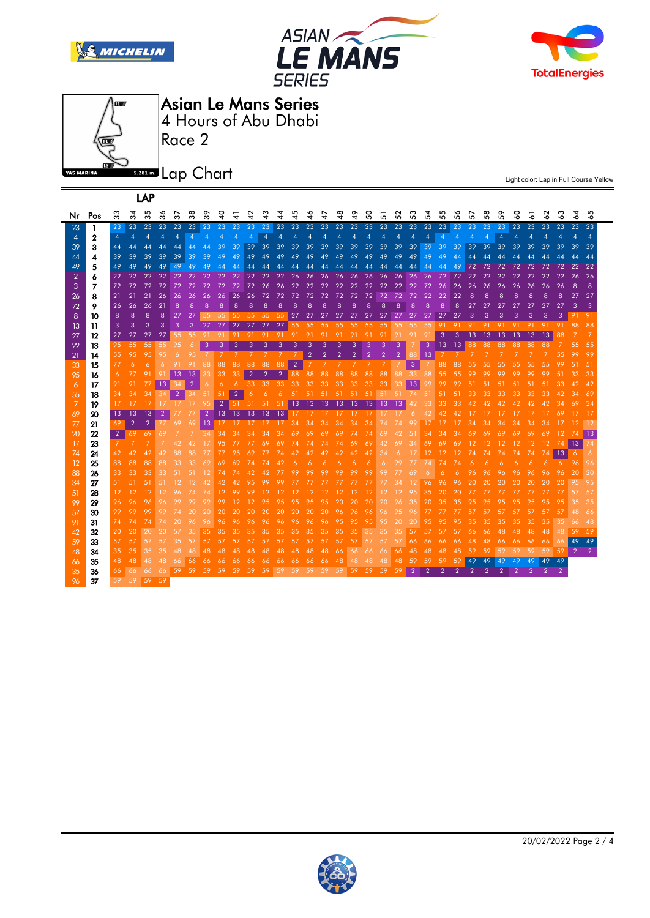







Asian Le Mans Series

Race 2 4 Hours of Abu Dhabi

5.281 m. Lap Chart

| LAP            |                |                |                |                |                |                     |                |                |                |                |                |                |                |                |                |                |               |               |             |     |                |                |                |                 |                |               |        |        |     |     |     |        |                          |                |
|----------------|----------------|----------------|----------------|----------------|----------------|---------------------|----------------|----------------|----------------|----------------|----------------|----------------|----------------|----------------|----------------|----------------|---------------|---------------|-------------|-----|----------------|----------------|----------------|-----------------|----------------|---------------|--------|--------|-----|-----|-----|--------|--------------------------|----------------|
| Nr             | Pos            | 33             | ო              | 5<br>ო         | ∾<br>ო         | $\overline{ }$<br>w | $\infty$<br>ო  | ᡐ<br>ო         | $\frac{1}{4}$  | 4              | N<br>4         | ო<br>4         | 4              | ю<br>4         | ∾<br>4         | 4              | $\frac{8}{4}$ | $\frac{6}{4}$ | $\rm ^{50}$ | 5   | $\sim$<br>5    | ო<br>5         | ෑ<br>5         | 5<br>5          | ∾<br>5         | ↖<br>5        | œ<br>5 | ໐<br>5 | 3   | 5   | 3   | ო<br>∘ | 24                       | 5<br>∾         |
| 23             | 1              | 23             | 23             | 23             | 23             | 23                  | 23             | -23 -          | -23            | 23             | 23             | 23             | 23             | 23             | 23             | 23             | 23            | 23            | 23          | 23  | 23             | 23             | 23             | 23              | 23             | 23            | 23     | 23     | 23  | 23  | 23  | 23     | 23                       | 23             |
| 4              | 2              | $\overline{4}$ | $\overline{4}$ | $\overline{4}$ | $\overline{4}$ | $\overline{4}$      | $\overline{4}$ | $\overline{4}$ | $\overline{4}$ | $\overline{4}$ | $\overline{4}$ | 4              | $\overline{4}$ | $\overline{4}$ | $\overline{4}$ | $\overline{4}$ | 4             | 4             | 4           | 4   | 4              | $\overline{4}$ | $\overline{4}$ | $\overline{A}$  | $\overline{A}$ | 4             | 4      | 4      | 4   | 4   | 4   | 4      | $\boldsymbol{\varDelta}$ | $\overline{4}$ |
| 39             | 3              | 44             | 44             | 44             | 44             | 44                  | 44             | 44             | 39             | 39             | 39             | 39             | 39             | 39             | 39             | 39             | 39            | 39            | 39          | 39  | 39             | 39             | 39             | 39              | 39             | 39            | 39     | 39     | 39  | 39  | 39  | 39     | 39                       | 39             |
| 44             | 4              | 39             | 39             | 39             | 39             | 39                  | 39             | 39             | 49             | 49             | 49             | 49             | 49             | 49             | 49             | 49             | 49            | 49            | 49          | 49  | 49             | 49             | 49             | 49              | 44             | 44            | 44     | 44     |     |     | 44  | 44     | 44                       | 44             |
| 49             | 5              | 49             | 49             | 49             | 49             | 49                  | 49             | 49             | 44             | 44             | 44             | 44             | 44             | 44             | 44             | 44             | 44            | 44            | 44          | 44  | 44             | 44             | 44             | 44              | 49             | 72            | 72     | 72     | 72  | 72  | 72  | 72     | 22                       | 22             |
| $\overline{2}$ | 6              | 22             | 22             | 22             | 22             | 22                  | 22             | 22             | 22             | 22             | 22             | 22             | 22             | 26             | 26             | 26             | 26            | 26            | 26          | 26  | 26             | 26             | 26             | 72              | 72             | 22            | 22     | 22     | 22  | 22  | 22  | 22     | 26                       | 26             |
| 3              | $\overline{7}$ | 72             | 72             | 72             | 72             | 72                  | 72             | 72             | 72             | 72             | 72             | 26             | 26             | 22             | 22             | 22             | 22            | 22            | 22          | 22  | 22             | 22             | 72             | 26              | 26             | 26            | 26     | 26     | 26  | 26  | 26  | 26     | 8                        | 8              |
| 26             | 8              | 21             | 21             | -21            | 26             | 26                  | 26             | 26             | 26             | 26             | 26             | -72            | -72            | -72            | -72            | 72             | -72           | 72            | -72         | 72  | 72             | -72            | 22             | 22              | 22             | 8             | 8      | 8      | 8   | 8   | 8   | 8      | 27                       | 27             |
| 72             | 9              | 26             | 26             | 26             | 21             | 8                   | 8              | 8              | 8              | 8              | 8              | 8              | 8              | 8              | 8              |                |               |               |             |     | ۶              |                | я              | 8               | 8              | 27            | 27     | 27     | 27  | 27  | 27  | 27     | з                        | 3              |
| 8              | 10             | 8              | 8              | 8              | 8              | 27                  | 27             | 55             | 55             | 55             | 55             | 55             | 55             | 27             | 27             | 27             | 27            | 27            | 27          | 27  | 27             | -27            | 27             | 27              | 27             | 3             | З      | 3      | 3   | З   | 3   | 3      | 91                       | 91             |
| 13             | 11             | 3              | 3              | 3              | 3              | -3                  | 3              | 27             | 27             | 27             | 27             | 27             | 27             | 55             | 55             | 55             | 55            | 55            | 55          | 55  | 55             | 55             | 55             | 91              | 91             | 91            | 91     | -91    | -91 | 91  | 91  | 91     | 88                       | 88             |
| 27             | 12             | 27             | 27             | 27             | 27             | 55                  | 55             | -91            | -91            | 91             | -91            | 91             | -91            | -91            | -91            | 91             | -91           | 91            | 91          | 91  | 91             | 91             | 91             | 3               | 3              | 13            | 13     | 13     | 13  | 13  | 13  | 88     |                          |                |
| 22             | 13             | 95             | 55             | 55             | 55             | 95                  | 6              | -3             | 3              | 3              | 3              | 3              | 3              | 3              | З              |                |               |               | З           | 3   | 3              |                | 3              | 13 <sup>°</sup> | -13            | 88            | 88     | 88     | 88  | 88  | 88  |        | 55                       | 55             |
| 21             | 14             | 55             | 95             | 95             | 95             |                     |                |                |                |                |                |                |                |                | $\overline{2}$ | $\overline{2}$ | 2             | 2             |             |     | $\overline{2}$ | 88             | 13             |                 |                |               |        |        |     |     |     | 55     |                          | 99             |
| 33             | 15             | 77             | 6              | 6              | 6              | 91                  | 91             | 88             | 88             | 88             | 88             | 88             | 88             | $\overline{2}$ |                |                |               |               |             |     |                | 3              |                | 88              | 88             | 55            | 55     | 55     | 55  | 55  | 55  | 99     | 51                       | 51             |
| 95             | 16             | 6              | 77             | 91             | 91             | 13                  | 13             | 33             | 33             | 33             | $\overline{2}$ | $\overline{2}$ | $\overline{2}$ | 88             | 88             | 88             | 88            | 88            | 88          | 88  | 88             | 33             | 88             | 55              | 55             | 99            |        |        |     |     | 99  | 51     |                          | 33             |
| 6              | 17             | 91             | 91             | 77             | 13             | 34                  | $\overline{2}$ | 6              | 6              | 6              | 33             | 33             | -33            | 33             | 33             | 33             | 33            | 33            | 33          | 33  | 33             | 13             | 99             | 99              | 99             |               |        |        |     |     | -51 | 33     |                          | 42             |
| 55             | 18             | 34             | 34             | 34             | 34             | $\overline{2}$      | 34             | 51             | 51             | $\overline{2}$ | 6              | 6              | 6              | -51            | -51            | 51             | -51           | 51            | -51         | 51  | -51            | -74            | 51             | 51              | 51             | 33            | 33     | 33     | 33  | 33  | 33  | 42     |                          | 69             |
| 7              | 19             | 17             |                |                |                |                     |                |                | $\overline{2}$ | 51             | $-51$          | 51             | 51             | 13             | 13             | 13             | 13            | 13            | 13          | 13  | 13             |                |                | 33              |                |               |        |        |     |     |     | 34     |                          | 34             |
| 69             | 20             | 13             | 13             | 13             | $\overline{2}$ |                     |                | $\overline{2}$ | 13             | 13             | 13             | 13             | 13             | -17            | -17            | 17             |               |               | $\perp$     |     |                | 6              | 42             |                 |                |               |        |        |     |     |     | 69     |                          | 17             |
| 77             | 21             | 69             | $\overline{2}$ | $\overline{2}$ |                | 69                  | 69             | 13             | 17             | 17             | 17             | 17             | -17            | 34             | 34             | 34             | 34            | 34            | 34          |     |                | 99             |                |                 |                | 34            |        | 34     | 34  | 34  | 34  |        |                          | 12             |
| 20             | 22             | $\overline{2}$ | 69             | 69             | 69             |                     |                | 34             | 34             | 34             | 34             | 34             | 34             | 69             | 69             | 69             | -69           | 74            | 74          | 69  | 42             | 51             | 34             | 34              | 34             | 69            | 69     | 69     | 69  | 69  | 69  | -12    | 74                       | -13            |
| 17             | 23             | 7              | -7             | 7              |                | 42                  | 42             | 17             | 95             | 77             | $\prime\prime$ | -69            | -69            | -74            | -74            | -74            | 74            | 69            | 69          | 42  | 69             | 34             | 69             | 69              | 69             | 12            | 12     | 12     | 12  | 12  | -12 | 74     | 13                       | 74             |
| 74             | 24             | 42             | 42             | 42             | 42             | 88                  |                |                |                |                |                |                | 74             | 42             | 42             | 42             | 42            | 42            | 42          | 34  |                |                |                |                 |                | 74            | 74     | 74     | 74  | 74  | 74  | 13     | 6                        | 6              |
| 12             | 25             | 88             | 88             | 88             | 88             | 33                  | 33             | 69             | 69             | 69             | 74             | 74             | 42             | 6              |                |                |               |               |             |     |                | 77             |                |                 |                |               |        |        |     |     |     | 6.     | 96                       | 96             |
| 88             | 26             | 33             | 33             | 33             | 33             | 51                  | 51             |                | 74             | 74             | 42             | 42             | 77             | 99             | 99             | 99             |               |               | 99          |     |                | 69             |                | 6               |                |               |        |        |     | 96  | 96  | 96     | 20                       | 20             |
| 34             | 27             | 51             | 51             | 51             | 51             |                     |                |                |                |                | 95             |                |                |                |                |                |               |               |             |     |                |                | 96.            | 96              |                |               |        |        |     |     | 20  | 20     | 95                       | 95             |
| 51             | 28             | 12.            | -12            | 12             | 12             | 96                  |                | 74             |                |                |                | 12             |                |                |                |                |               |               |             |     |                | 95             | 35.            | 20              | 20             |               |        |        |     |     |     | -77    | 57                       | 57             |
| 99             | 29             | 96             | 96             | 96             | 96             |                     |                |                |                |                |                |                |                |                |                |                |               |               | 20          | 20  |                | 35             |                |                 |                |               |        |        |     |     |     | 95     |                          | 35             |
| 57             | 30             | 99             | 99             | 99             | 99             |                     | 20             | 20             | 20             | 20             | 20             | 20             | 20             | 20             | 20             | 20             | 96            | 96            | 96          | 96  | 95             | 96             |                |                 |                |               |        |        |     | 57  | 57  | .57    | 48                       | 66             |
| 91             | 31             | 74             | 74             | 74             | 74             | 20                  |                |                | 96             | 96             | 96             | 96             | 96             | 96             | 96             | 96             | 95            | 95            | 95          | 95. | 20             | 20             | 95             |                 |                | 35            | 35     | 35     | 35  | 35  | 35  | 35     | 66                       | 48             |
| 42             | 32             | 20             | 20             | 20             | 20             | 57                  | 35             | 35             | 35             | 35             | 35             | 35             | 35             | 35             | 35             | 35             | 35            | 35            | 35          | 35. | 35             |                | 57             | 57              | 57             | 66            | 66     | 48     | 48  | 48  | 48  | 48     | 59                       | 59             |
| 59             | 33             | 57             | -57            | 57             | 57             | 35                  | 57             | 57             | -57            | .57            | -57            | -57            | -57            | .57            | -57            | .57            | .57           | 57            | 57          | 57  | 57             | 66.            | 66.            | 66.             | 66.            | 48            | 48     | 66     | 66  | 66  | 66  | 66     | 49                       | 49             |
| 48             | 34             | 35.            | 35             | 35             | 35             | 48                  | 48             | 48             | 48             | 48             | 48             | 48             | 48             | 48             | 48             | 48             | 66            | 66            | 66          | 66  | 66             | 48             | 48.            | 48              | 48             |               | 59     | 59     | 59  | .59 | 59  | 59     | $\overline{2}$           | $\overline{2}$ |
| 66             | 35             | 48             | 48             | 48             | 48             | 66                  | 66             | 66             | 66             | 66             | 66             | 66             | 66             | 66             | 66             | 66             | 48            | 48            | 48          | 48  | 48             | 59             | 59.            | 59              | 59             | 49            | 49     | 49     | 49  | 49  | 49  | 49     |                          |                |
| 35             | 36             | 66             | 66             | 66             | 66             | 59                  | 59             | 59             | 59             | 59             | 59             | 59             | 59             | 59             | 59             | 59             | 59            | 59            | 59          | 59  | 59             | $\overline{2}$ | $\overline{2}$ | $\overline{2}$  | $\mathcal{P}$  | $\mathcal{P}$ | 2      | っ      |     | 2   | 2   | 2      |                          |                |
| 96             | 37             | 59             | 59             | 59             | 59             |                     |                |                |                |                |                |                |                |                |                |                |               |               |             |     |                |                |                |                 |                |               |        |        |     |     |     |        |                          |                |
|                |                |                |                |                |                |                     |                |                |                |                |                |                |                |                |                |                |               |               |             |     |                |                |                |                 |                |               |        |        |     |     |     |        |                          |                |

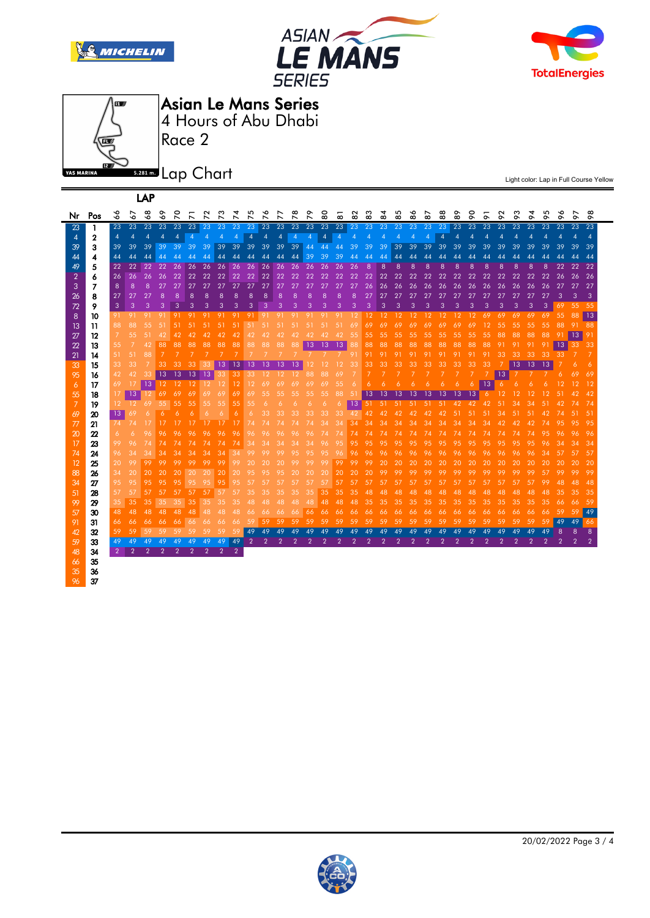







37

LAP

Asian Le Mans Series

Race 2 4 Hours of Abu Dhabi

**5.281 m.** Lap Chart

| Nr             | Pos | 3               | ٠o            | $\infty$<br>ó | $\circ$<br>ó | $\circ$<br>$\overline{\phantom{0}}$ | ↖              | $\sim$<br>↖ | ო<br>↖         | 4              | $\Omega$<br>↖  | ç<br>↖ | ↖<br>↖          | $\infty$<br>$\overline{ }$ | $\sigma$<br>$\overline{\phantom{0}}$ | $\tt{S}$       | $\overline{\phantom{0}}$<br>$\infty$ | 82             | ო<br>$\infty$  | 4<br>Ϙ         | 5<br>$\infty$   | ç<br>œō        | ↖<br>$\infty$   | $\infty$<br>$\infty$ | ᡐ<br>ōo         | 0<br>ō          | ò   | $\sim$<br>$\sigma$ | ო<br>$\sigma$ | $\sigma$ | m<br>$\sigma$ | $\bullet$<br>$\sigma$ | $\sigma$       | $\infty$<br>$\circ$      |
|----------------|-----|-----------------|---------------|---------------|--------------|-------------------------------------|----------------|-------------|----------------|----------------|----------------|--------|-----------------|----------------------------|--------------------------------------|----------------|--------------------------------------|----------------|----------------|----------------|-----------------|----------------|-----------------|----------------------|-----------------|-----------------|-----|--------------------|---------------|----------|---------------|-----------------------|----------------|--------------------------|
| 23             | 1   | 23              | 23            | 23            | 23           | 23                                  | 23             | 23          | 23             | 23             | 23             | 23     | 23              | 23                         | 23                                   | 23             | 23                                   | 23 23          |                | $-23$          | 23              | 23             | 23              | 23                   | 23              | 23              | 23  | 23                 | 23            | 23       | 23            | 23                    | 23             | 23                       |
| 4              | 2   | $\overline{4}$  | 4             | 4             | 4            | 4                                   | $\overline{4}$ | 4           | 4              | 4              | $\overline{4}$ | 4      | 4               | $\overline{4}$             | $\boldsymbol{\Lambda}$               | 4              | 4                                    | 4              | 4              | 4              | 4               | 4              | $\overline{4}$  | $\overline{A}$       | $\overline{4}$  | $\overline{4}$  | 4   | 4                  | 4             | 4        | 4             |                       |                | $\boldsymbol{\varDelta}$ |
| 39             | 3   | 39              | 39            | 39            | 39           | -39                                 | 39             | -39         | 39             | 39             | 39             | 39     | 39              | 39                         | 44                                   | 44             | 44                                   | 39             | 39             | 39             | 39              | 39             | 39              | 39                   | 39              | 39              | 39  | 39                 | 39            | 39       | 39            | 39                    | 39             | 39                       |
| 44             | 4   | 44              | 44            | 44            | 44           | 44                                  | 44             | 44          | 44             | 44             | 44             | 44     | 44              | 44                         | 39                                   | 39             | 39                                   | 44             | 44             | 44             | 44              | 44             | 44              | 44                   | 44              | 44              | Δ4  | 44                 | 44            | 44       | 44            | 44                    | 44             | 44                       |
| 49             | 5   | 22              | 22            | 22            | 22           | 26                                  | 26             | 26          | 26             | 26             | 26             | 26     | 26              | 26                         | 26                                   | 26             | 26                                   | 26             | 8              | 8              | 8               | 8              | 8               | 8                    | 8               | 8               | 8   | 8                  | 8             | 8        | 8             | 22                    | 22             | 22                       |
| $\overline{2}$ | 6   | 26              | 26            | 26            | 26           | -22                                 | 22             | 22          | 22             | 22             | -22            | 22     | 22              | 22                         | 22                                   | 22             | 22                                   | 22             | 22             | 22             | 22              | 22             | 22              | 22                   | 22              | 22              | 22  | 22                 | 22            | 22       | 22            | 26                    | 26             | 26                       |
| 3              | 7   | 8               | 8             | 8             | 27           | 27                                  | 27             | 27          | 27             | 27             | 27             | 27     | 27              | 27                         | 27                                   | 27             | 27                                   | 27             | 26             | 26             | 26              | 26             | 26              | 26                   | 26              | 26              | 26  | 26                 | 26            | 26       | 26            | 27                    | 27             | 27                       |
| 26             | 8   | 27              | 27            | 27            | 8            | 8                                   | 8              | 8           | 8              | 8              | 8              | 8      | 8               | 8                          | 8                                    | 8              | 8                                    | 8              | 27             | 27             | 27              | 27             | 27              | 27                   | 27              | 27              | 27  | 27                 | 27            | 27       | 27            | 3                     | 3              | 3                        |
| 72             | 9   | 3               | 3             | 3             | З            | 3                                   | 3              |             |                | З              | 3              | 3      | 3               | 3                          | 3                                    | 3              | 3                                    | 3              | 3              | 3              | 3               | 3              | 3               | З                    | З               | З               | З   | З                  | З             | 3        | 3             | 69                    | 55             | - 55                     |
| 8              | 10  | 91.             | 91            | -91           | 91           | 91                                  | 91             | 91          | 91             | 91             | -91            | -91    | 91              | -91                        | -91                                  | 91             | 91                                   | 12             | 12             | 12             | -12             | -12            | 12 <sup>°</sup> | 12                   | 12 <sup>°</sup> | 12 <sup>°</sup> | -69 | 69                 | 69            | 69       | 69            | 55                    | -88            | 13                       |
| 13             | 11  | 88.             | 88            | 55            | -51          | -51                                 | -51            | -51         | -51            | -51            | 51             | -51    | -51             | -51                        | 51                                   | -51            | -51                                  | 69             | 69             | 69             | 69              | 69             | 69              | 69                   | 69              | 69              | 12  | 55                 | 55            | 55       | .55           | 88                    | -91            | -88                      |
| 27             | 12  | $\mathcal{I}$   | 55            | 51            | 42           | 42                                  | 42             | 42          | 42             | 42             | 42             | 42     | 42              | 42                         | 42                                   | 42             | 42                                   | 55             | $55 -$         | 55             | 55 <sub>1</sub> | 55             | 55              | 55                   | 55              | 55              | 55  | 88                 | 88            | 88       | 88            | 91                    | 13             |                          |
| 22             | 13  | 55              | 7             | 42            | 88           | 88                                  | 88             | 88          | 88             | 88             | 88             | 88     | 88              | 88                         | 13                                   | 13             | 13                                   | 88             | 88             | 88             | 88              | 88             | 88              | 88                   | 88              | 88              | 88  | 91                 |               |          | 91            | 13                    | 33             | -33                      |
| 21             | 14  | 51.             | 51            | 88            |              |                                     |                |             |                |                |                |        |                 |                            |                                      |                |                                      | 91             | 91             | 91             | -91             | 91             | 91              | 91                   | 91              | 91              | 91  | 33                 | 33            | 33       | 33            | 33                    |                |                          |
| 33             | 15  | 33.             | 33            |               | 33           | 33                                  |                |             | 13             | 13             | 13             | 13     | 13              | 13                         | 12                                   | 12             | 12                                   | 33             | 33.            | 33             | 33              | 33             | 33              | 33                   | 33              | 33.             | 33  |                    | 13            | -13      | 13            |                       | 6              | 6                        |
| 95             | 16  | 42              | 42            |               | 13           | 13                                  | 13             | -13         | 33.            | 33             | 33             | 12     | 12 <sup>°</sup> | 12 <sup>7</sup>            | 88                                   | 88             | 69                                   |                |                |                |                 |                |                 |                      |                 |                 |     | 13                 |               |          |               | 6                     | 69             | 69                       |
| 6              | 17  | 69              | 17            | 13            | 12           | 12                                  | -12            | 12          | 12             | 12             | 12             | 69     | 69              | 69                         | 69                                   | 69             | 55                                   |                | 6              |                |                 |                |                 |                      | 6               | 6               | 13  | 6                  | 6             |          |               |                       |                |                          |
| 55             | 18  | 17              | 13            |               | 69           | 69                                  | 69             | 69          | 69             | 69             | 69             | 55     | 55              | 55                         | 55                                   | 55             | 88                                   | 51             | 13             | 13             | -13             | -13            | 13              | 13                   | -13             | -13             | 6   | 12                 | 12            | 12       | 12            |                       |                |                          |
| 7              | 19  | 12 <sup>°</sup> | 12            | 69            | 55           | 55                                  | 55             | 55          | 55             | 55             | 55             | 6      | 6               | 6                          | 6                                    | 6              | 6                                    | 13             | 51             | 51             | 51              | 51             | 51              | 51                   | 42              | 42              | 42  | 51                 | 34            |          |               |                       |                | 74                       |
| 69             | 20  | 13 <sup>°</sup> | 69            |               |              |                                     |                |             |                | 6              |                | 33     | 33              | 33                         | 33                                   | 33             | 33                                   | 42             | 42             | 42             |                 |                |                 |                      | 51              | 51              | 51  | 34                 |               |          |               |                       |                |                          |
| 77             | 21  | 74              | 74            |               |              |                                     |                |             |                |                |                | 74     |                 |                            |                                      | 34             | 34                                   | 34             | 34             | 34             | 34              | 34             | 34              | 34                   | 34              | 34              | 34  | 42                 |               |          |               |                       |                | 95                       |
| 20             | 22  | 6               | 6             | 96            | 96           |                                     |                |             | 96             | 96             | 96             | 96     | 96              | 96                         | 96                                   | 74             |                                      | 74             | 74             |                |                 |                |                 |                      |                 |                 |     |                    |               |          |               |                       |                | -96                      |
| 17             | 23  | 99              | 96            | 74            |              |                                     |                |             | 74             | 74             | 34             | 34     | 34              | 34                         | 34                                   | 96             | 95                                   | 95             | 95             | 95             | 95              | 95             | 95              | 95                   | 95              | 95              | 95  |                    |               |          |               |                       |                | 34                       |
| 74             | 24  | 96              | 34            | 34            | 34           | 34                                  | 34             | 34          | 34             | 34             | 99             | 99     | 99              | 95                         | 95                                   | 95             | 96                                   | 96             | 96             | 96             |                 |                |                 |                      |                 |                 |     |                    |               |          |               |                       |                | -57                      |
| 12             | 25  | 20              | 99            | 99            | 99           | 99                                  | 99             | 99          | 99             | 99             | 20             | 20     | 20              | 99                         | 99                                   | 99             | 99                                   | 99             | 99             | 20             | 20              | 20             | 20              | 20                   | 20              | 20              | 20  | 20                 |               |          |               |                       | 20             | -20                      |
| 88             | 26  | 34              | 20            | 20            | 20           | 20                                  | 20             | 20          | 20             | 20             | 95             | 95     | 95              | 20                         | 20                                   | 20             | 20                                   | 20             | 20             | 99             | 99              | 99             | 99              | 99                   | 99              | 99              | 99  | 99                 | 99            |          | 57            | 99                    | 99             | -99                      |
| 34             | 27  | 95              | 95            | 95            | 95           | 95                                  | 95             | 95          | 95             | 95             | 57             | 57     | 57              | 57                         | 57                                   | 57             | 57                                   | 57             | 57             | 57             | 57              | 57             | 57              | 57                   | 57              | 57              | 57  | 57                 |               |          | 99            | 48                    | 48             | 48                       |
| 51             | 28  | 57              | 57            | 57            | 57           | 57                                  | 57             | 57          | 57             | 57             | 35             | 35     | 35              | 35                         | 35.                                  | 35.            | 35                                   | 35             | 48             | 48             | 48              | 48             | 48              | 48                   | 48.             | 48.             | 48  | 48                 |               | 48       | 48            | 35                    | 35             | -35                      |
| 99             | 29  | 35              | 35            | 35            | 35           | 35                                  | 35             | 35          | 35             | 35             | 48             | 48     | 48              | 48                         | 48                                   | 48             | 48                                   | 48             | 35             | 35             | 35              | 35             | 35              | 35                   | 35              | 35              | 35  | 35                 | 35            | 35       | 35            | 66                    | 66             | -59                      |
| 57             | 30  | 48              | 48            | 48            | 48           | 48                                  | 48             | 48          | 48             | 48             | 66             | 66     | 66              | 66                         | 66                                   | 66             | 66                                   | 66             | 66             | 66             | 66              | 66             | 66              | 66                   | 66              | 66              | 66  | 66                 | 66            | 66       | 66            | 59                    | 59             | 49                       |
| 91             | 31  | 66              | 66            | 66            | 66           | 66                                  | 66             | 66          | 66             | 66             | .59            | 59     | 59              | 59                         | 59                                   | 59             | 59                                   | 59             | -59            | 59             | 59              | 59             | 59              | .59                  | .59             | .59             | .59 | .59                | .59           | 59       | 59            | 49                    | 49             | 66                       |
| 42             | 32  | 59              | 59            | 59            | 59           | 59                                  | 59             | 59          | 59             | 59             | 49             | 49     | 49              | 49                         | 49                                   | 49             | 49                                   | 49             | 49             | 49             | 49              | 49             | 49              | 49                   | 49              | 49              | 49  | 49                 | 49            | 49       | 49            | 8                     | 8              | 8                        |
| 59             | 33  | 49              | 49            | 49            | 49           | 49                                  | 49             | 49          | 49             | 49             | $\overline{2}$ | 2      | っ               | $\mathcal{P}$              | $\overline{2}$                       | $\overline{2}$ | $\overline{2}$                       | $\overline{2}$ | $\overline{2}$ | $\overline{2}$ | $\overline{2}$  | $\overline{2}$ | $\overline{2}$  | $\overline{2}$       | $\overline{2}$  | 2               | 2   | 2                  | 2             | 2        | 2             | 2                     | $\overline{2}$ | $\overline{2}$           |
| 48             | 34  | $\overline{2}$  | $\mathcal{P}$ |               |              | 2                                   | 2              | 2           | $\overline{2}$ | $\overline{2}$ |                |        |                 |                            |                                      |                |                                      |                |                |                |                 |                |                 |                      |                 |                 |     |                    |               |          |               |                       |                |                          |
| 66             | 35  |                 |               |               |              |                                     |                |             |                |                |                |        |                 |                            |                                      |                |                                      |                |                |                |                 |                |                 |                      |                 |                 |     |                    |               |          |               |                       |                |                          |
| 35             | 36  |                 |               |               |              |                                     |                |             |                |                |                |        |                 |                            |                                      |                |                                      |                |                |                |                 |                |                 |                      |                 |                 |     |                    |               |          |               |                       |                |                          |